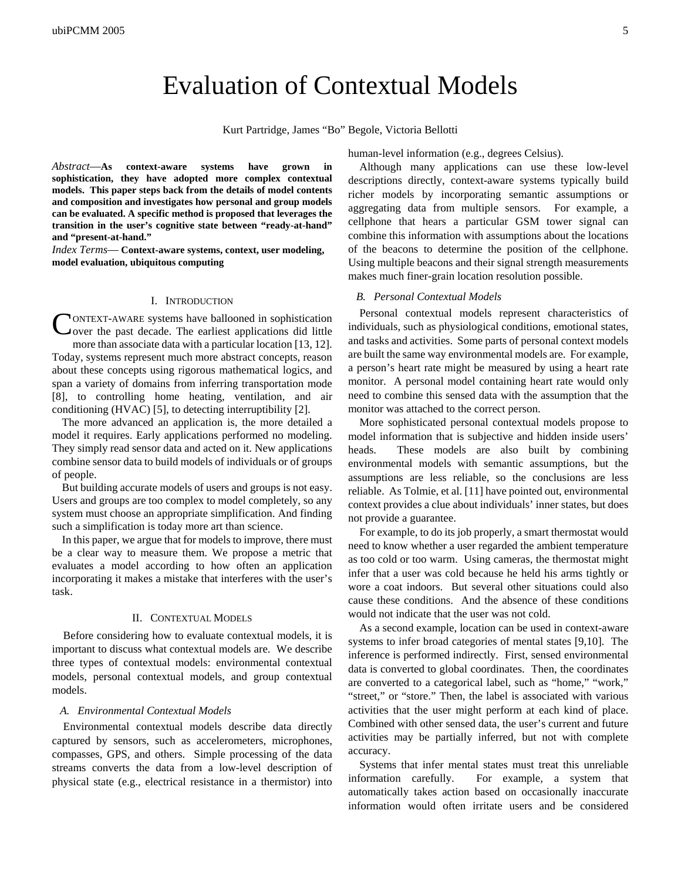# Evaluation of Contextual Models

Kurt Partridge, James "Bo" Begole, Victoria Bellotti

*Abstract*—**As context-aware systems have grown in sophistication, they have adopted more complex contextual models. This paper steps back from the details of model contents and composition and investigates how personal and group models can be evaluated. A specific method is proposed that leverages the transition in the user's cognitive state between "ready-at-hand" and "present-at-hand."** 

*Index Terms*— **Context-aware systems, context, user modeling, model evaluation, ubiquitous computing** 

#### I. INTRODUCTION

ONTEXT-AWARE systems have ballooned in sophistication CONTEXT-AWARE systems have ballooned in sophistication over the past decade. The earliest applications did little more than associate data with a particular location [13, 12]. Today, systems represent much more abstract concepts, reason about these concepts using rigorous mathematical logics, and span a variety of domains from inferring transportation mode [8], to controlling home heating, ventilation, and air conditioning (HVAC) [5], to detecting interruptibility [2].

The more advanced an application is, the more detailed a model it requires. Early applications performed no modeling. They simply read sensor data and acted on it. New applications combine sensor data to build models of individuals or of groups of people.

But building accurate models of users and groups is not easy. Users and groups are too complex to model completely, so any system must choose an appropriate simplification. And finding such a simplification is today more art than science.

In this paper, we argue that for models to improve, there must be a clear way to measure them. We propose a metric that evaluates a model according to how often an application incorporating it makes a mistake that interferes with the user's task.

#### II. CONTEXTUAL MODELS

Before considering how to evaluate contextual models, it is important to discuss what contextual models are. We describe three types of contextual models: environmental contextual models, personal contextual models, and group contextual models.

### *A. Environmental Contextual Models*

Environmental contextual models describe data directly captured by sensors, such as accelerometers, microphones, compasses, GPS, and others. Simple processing of the data streams converts the data from a low-level description of physical state (e.g., electrical resistance in a thermistor) into human-level information (e.g., degrees Celsius).

Although many applications can use these low-level descriptions directly, context-aware systems typically build richer models by incorporating semantic assumptions or aggregating data from multiple sensors. For example, a cellphone that hears a particular GSM tower signal can combine this information with assumptions about the locations of the beacons to determine the position of the cellphone. Using multiple beacons and their signal strength measurements makes much finer-grain location resolution possible.

#### *B. Personal Contextual Models*

Personal contextual models represent characteristics of individuals, such as physiological conditions, emotional states, and tasks and activities. Some parts of personal context models are built the same way environmental models are. For example, a person's heart rate might be measured by using a heart rate monitor. A personal model containing heart rate would only need to combine this sensed data with the assumption that the monitor was attached to the correct person.

More sophisticated personal contextual models propose to model information that is subjective and hidden inside users' heads. These models are also built by combining environmental models with semantic assumptions, but the assumptions are less reliable, so the conclusions are less reliable. As Tolmie, et al. [11] have pointed out, environmental context provides a clue about individuals' inner states, but does not provide a guarantee.

For example, to do its job properly, a smart thermostat would need to know whether a user regarded the ambient temperature as too cold or too warm. Using cameras, the thermostat might infer that a user was cold because he held his arms tightly or wore a coat indoors. But several other situations could also cause these conditions. And the absence of these conditions would not indicate that the user was not cold.

As a second example, location can be used in context-aware systems to infer broad categories of mental states [9,10]. The inference is performed indirectly. First, sensed environmental data is converted to global coordinates. Then, the coordinates are converted to a categorical label, such as "home," "work," "street," or "store." Then, the label is associated with various activities that the user might perform at each kind of place. Combined with other sensed data, the user's current and future activities may be partially inferred, but not with complete accuracy.

Systems that infer mental states must treat this unreliable information carefully. For example, a system that automatically takes action based on occasionally inaccurate information would often irritate users and be considered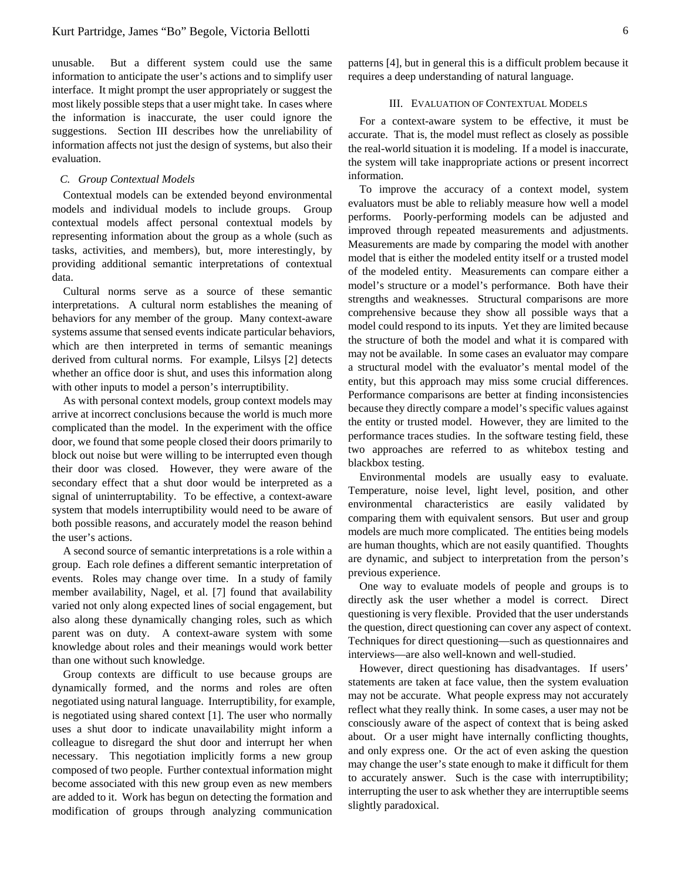unusable. But a different system could use the same information to anticipate the user's actions and to simplify user interface. It might prompt the user appropriately or suggest the most likely possible steps that a user might take. In cases where the information is inaccurate, the user could ignore the suggestions. Section III describes how the unreliability of information affects not just the design of systems, but also their evaluation.

#### *C. Group Contextual Models*

Contextual models can be extended beyond environmental models and individual models to include groups. Group contextual models affect personal contextual models by representing information about the group as a whole (such as tasks, activities, and members), but, more interestingly, by providing additional semantic interpretations of contextual data.

Cultural norms serve as a source of these semantic interpretations. A cultural norm establishes the meaning of behaviors for any member of the group. Many context-aware systems assume that sensed events indicate particular behaviors, which are then interpreted in terms of semantic meanings derived from cultural norms. For example, Lilsys [2] detects whether an office door is shut, and uses this information along with other inputs to model a person's interruptibility.

As with personal context models, group context models may arrive at incorrect conclusions because the world is much more complicated than the model. In the experiment with the office door, we found that some people closed their doors primarily to block out noise but were willing to be interrupted even though their door was closed. However, they were aware of the secondary effect that a shut door would be interpreted as a signal of uninterruptability. To be effective, a context-aware system that models interruptibility would need to be aware of both possible reasons, and accurately model the reason behind the user's actions.

A second source of semantic interpretations is a role within a group. Each role defines a different semantic interpretation of events. Roles may change over time. In a study of family member availability, Nagel, et al. [7] found that availability varied not only along expected lines of social engagement, but also along these dynamically changing roles, such as which parent was on duty. A context-aware system with some knowledge about roles and their meanings would work better than one without such knowledge.

Group contexts are difficult to use because groups are dynamically formed, and the norms and roles are often negotiated using natural language. Interruptibility, for example, is negotiated using shared context [1]. The user who normally uses a shut door to indicate unavailability might inform a colleague to disregard the shut door and interrupt her when necessary. This negotiation implicitly forms a new group composed of two people. Further contextual information might become associated with this new group even as new members are added to it. Work has begun on detecting the formation and modification of groups through analyzing communication

patterns [4], but in general this is a difficult problem because it requires a deep understanding of natural language.

## III. EVALUATION OF CONTEXTUAL MODELS

For a context-aware system to be effective, it must be accurate. That is, the model must reflect as closely as possible the real-world situation it is modeling. If a model is inaccurate, the system will take inappropriate actions or present incorrect information.

To improve the accuracy of a context model, system evaluators must be able to reliably measure how well a model performs. Poorly-performing models can be adjusted and improved through repeated measurements and adjustments. Measurements are made by comparing the model with another model that is either the modeled entity itself or a trusted model of the modeled entity. Measurements can compare either a model's structure or a model's performance. Both have their strengths and weaknesses. Structural comparisons are more comprehensive because they show all possible ways that a model could respond to its inputs. Yet they are limited because the structure of both the model and what it is compared with may not be available. In some cases an evaluator may compare a structural model with the evaluator's mental model of the entity, but this approach may miss some crucial differences. Performance comparisons are better at finding inconsistencies because they directly compare a model's specific values against the entity or trusted model. However, they are limited to the performance traces studies. In the software testing field, these two approaches are referred to as whitebox testing and blackbox testing.

Environmental models are usually easy to evaluate. Temperature, noise level, light level, position, and other environmental characteristics are easily validated by comparing them with equivalent sensors. But user and group models are much more complicated. The entities being models are human thoughts, which are not easily quantified. Thoughts are dynamic, and subject to interpretation from the person's previous experience.

One way to evaluate models of people and groups is to directly ask the user whether a model is correct. Direct questioning is very flexible. Provided that the user understands the question, direct questioning can cover any aspect of context. Techniques for direct questioning—such as questionnaires and interviews—are also well-known and well-studied.

However, direct questioning has disadvantages. If users' statements are taken at face value, then the system evaluation may not be accurate. What people express may not accurately reflect what they really think. In some cases, a user may not be consciously aware of the aspect of context that is being asked about. Or a user might have internally conflicting thoughts, and only express one. Or the act of even asking the question may change the user's state enough to make it difficult for them to accurately answer. Such is the case with interruptibility; interrupting the user to ask whether they are interruptible seems slightly paradoxical.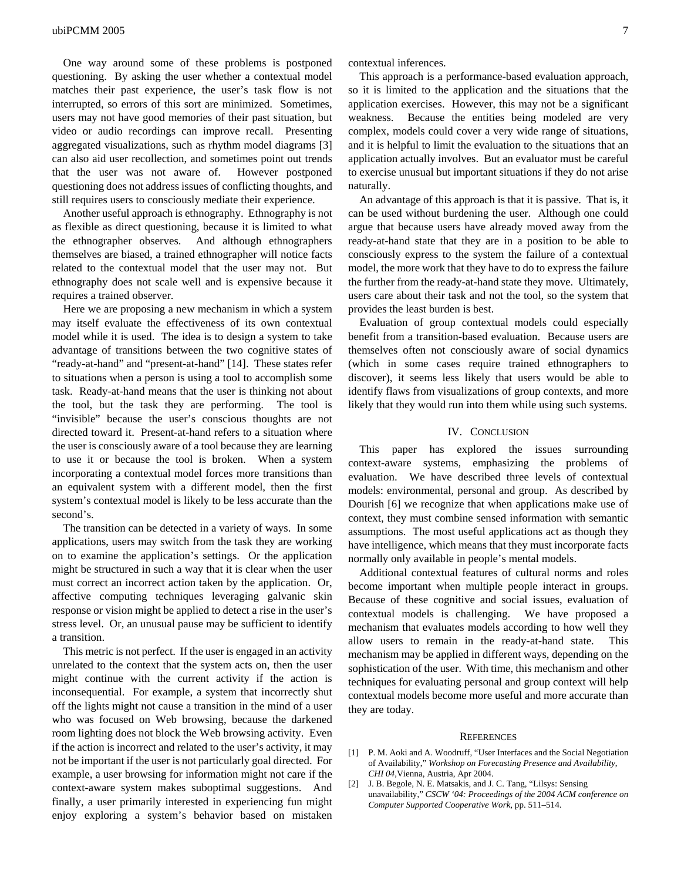One way around some of these problems is postponed questioning. By asking the user whether a contextual model matches their past experience, the user's task flow is not interrupted, so errors of this sort are minimized. Sometimes, users may not have good memories of their past situation, but video or audio recordings can improve recall. Presenting aggregated visualizations, such as rhythm model diagrams [3] can also aid user recollection, and sometimes point out trends that the user was not aware of. However postponed questioning does not address issues of conflicting thoughts, and still requires users to consciously mediate their experience.

Another useful approach is ethnography. Ethnography is not as flexible as direct questioning, because it is limited to what the ethnographer observes. And although ethnographers themselves are biased, a trained ethnographer will notice facts related to the contextual model that the user may not. But ethnography does not scale well and is expensive because it requires a trained observer.

Here we are proposing a new mechanism in which a system may itself evaluate the effectiveness of its own contextual model while it is used. The idea is to design a system to take advantage of transitions between the two cognitive states of "ready-at-hand" and "present-at-hand" [14]. These states refer to situations when a person is using a tool to accomplish some task. Ready-at-hand means that the user is thinking not about the tool, but the task they are performing. The tool is "invisible" because the user's conscious thoughts are not directed toward it. Present-at-hand refers to a situation where the user is consciously aware of a tool because they are learning to use it or because the tool is broken. When a system incorporating a contextual model forces more transitions than an equivalent system with a different model, then the first system's contextual model is likely to be less accurate than the second's.

The transition can be detected in a variety of ways. In some applications, users may switch from the task they are working on to examine the application's settings. Or the application might be structured in such a way that it is clear when the user must correct an incorrect action taken by the application. Or, affective computing techniques leveraging galvanic skin response or vision might be applied to detect a rise in the user's stress level. Or, an unusual pause may be sufficient to identify a transition.

This metric is not perfect. If the user is engaged in an activity unrelated to the context that the system acts on, then the user might continue with the current activity if the action is inconsequential. For example, a system that incorrectly shut off the lights might not cause a transition in the mind of a user who was focused on Web browsing, because the darkened room lighting does not block the Web browsing activity. Even if the action is incorrect and related to the user's activity, it may not be important if the user is not particularly goal directed. For example, a user browsing for information might not care if the context-aware system makes suboptimal suggestions. And finally, a user primarily interested in experiencing fun might enjoy exploring a system's behavior based on mistaken contextual inferences.

This approach is a performance-based evaluation approach, so it is limited to the application and the situations that the application exercises. However, this may not be a significant weakness. Because the entities being modeled are very complex, models could cover a very wide range of situations, and it is helpful to limit the evaluation to the situations that an application actually involves. But an evaluator must be careful to exercise unusual but important situations if they do not arise naturally.

An advantage of this approach is that it is passive. That is, it can be used without burdening the user. Although one could argue that because users have already moved away from the ready-at-hand state that they are in a position to be able to consciously express to the system the failure of a contextual model, the more work that they have to do to express the failure the further from the ready-at-hand state they move. Ultimately, users care about their task and not the tool, so the system that provides the least burden is best.

Evaluation of group contextual models could especially benefit from a transition-based evaluation. Because users are themselves often not consciously aware of social dynamics (which in some cases require trained ethnographers to discover), it seems less likely that users would be able to identify flaws from visualizations of group contexts, and more likely that they would run into them while using such systems.

#### IV. CONCLUSION

This paper has explored the issues surrounding context-aware systems, emphasizing the problems of evaluation. We have described three levels of contextual models: environmental, personal and group. As described by Dourish [6] we recognize that when applications make use of context, they must combine sensed information with semantic assumptions. The most useful applications act as though they have intelligence, which means that they must incorporate facts normally only available in people's mental models.

Additional contextual features of cultural norms and roles become important when multiple people interact in groups. Because of these cognitive and social issues, evaluation of contextual models is challenging. We have proposed a mechanism that evaluates models according to how well they allow users to remain in the ready-at-hand state. This mechanism may be applied in different ways, depending on the sophistication of the user. With time, this mechanism and other techniques for evaluating personal and group context will help contextual models become more useful and more accurate than they are today.

#### **REFERENCES**

- [1] P. M. Aoki and A. Woodruff, "User Interfaces and the Social Negotiation of Availability," *Workshop on Forecasting Presence and Availability*, *CHI 04*,Vienna, Austria, Apr 2004.
- [2] J. B. Begole, N. E. Matsakis, and J. C. Tang, "Lilsys: Sensing unavailability," *CSCW '04: Proceedings of the 2004 ACM conference on Computer Supported Cooperative Work*, pp. 511–514.